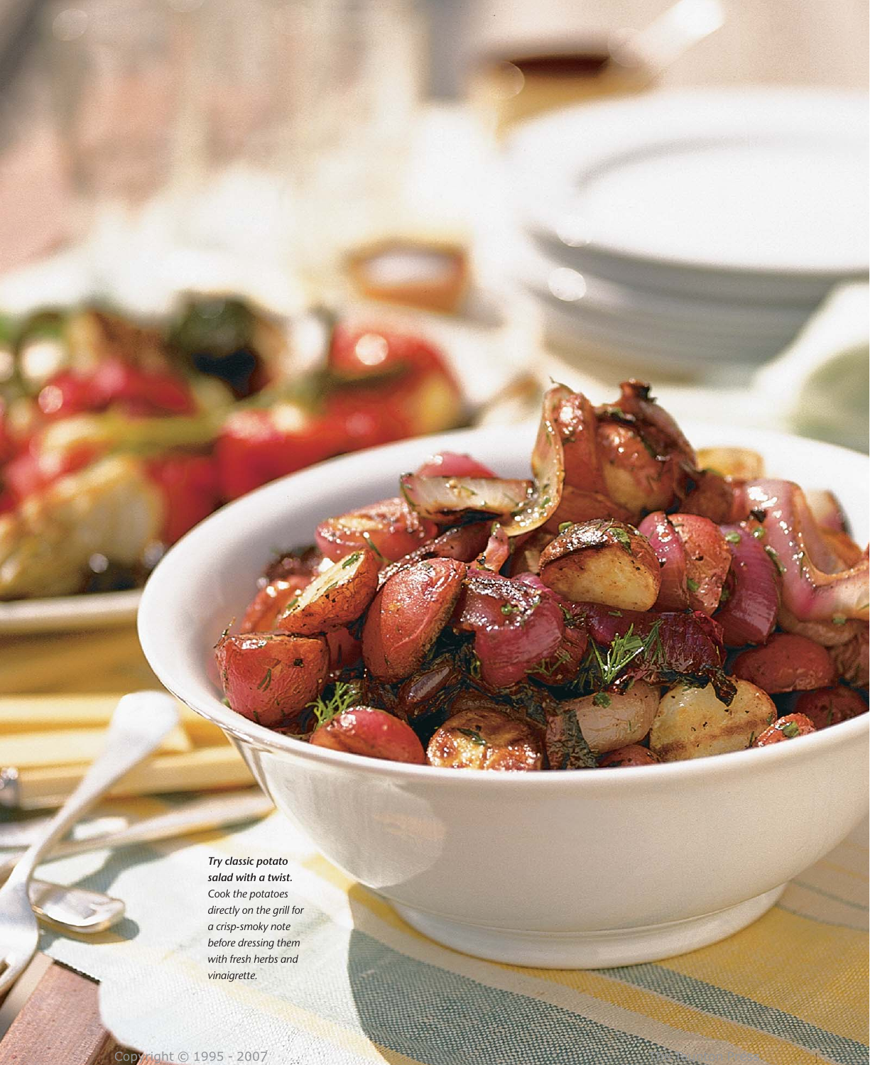*Try classic potato salad with a twist. Cook the potatoes directly on the grill for a crisp-smoky note before dressing them with fresh herbs and vinaigrette.*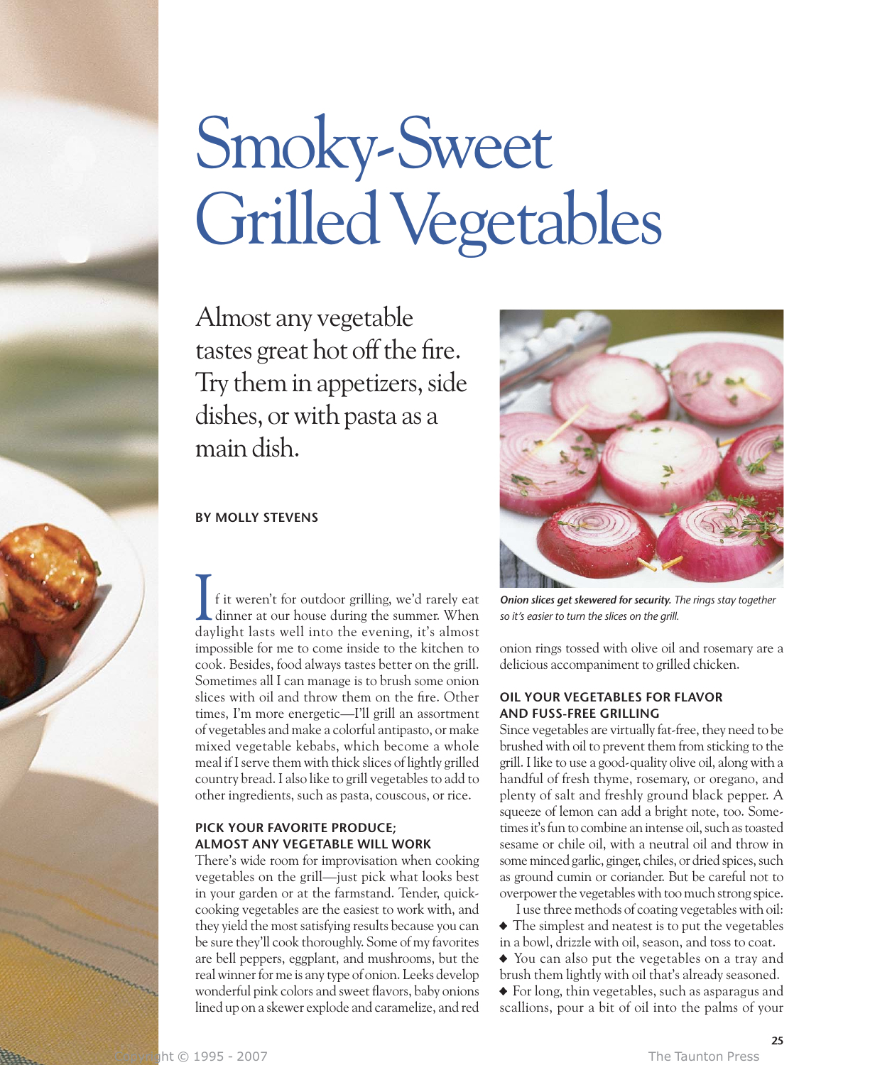# Smoky-Sweet Grilled Vegetables

Almost any vegetable tastes great hot off the fire. Try them in appetizers, side dishes, or with pasta as a main dish.

#### **BY MOLLY STEVENS**

f it weren't for outdoor grilling, we'd rarely eat dinner at our house during the summer. When daylight lasts well into the evening, it's almost impossible for me to come inside to the kitchen to cook. Besides, food always tastes better on the grill. Sometimes all I can manage is to brush some onion slices with oil and throw them on the fire. Other times, I'm more energetic—I'll grill an assortment of vegetables and make a colorful antipasto, or make mixed vegetable kebabs, which become a whole meal if I serve them with thick slices of lightly grilled country bread. I also like to grill vegetables to add to other ingredients, such as pasta, couscous, or rice. I<sub>day</sub>

## **PICK YOUR FAVORITE PRODUCE; ALMOST ANY VEGETABLE WILL WORK**

There's wide room for improvisation when cooking vegetables on the grill—just pick what looks best in your garden or at the farmstand. Tender, quickcooking vegetables are the easiest to work with, and they yield the most satisfying results because you can be sure they'll cook thoroughly. Some of my favorites are bell peppers, eggplant, and mushrooms, but the real winner for me is any type of onion. Leeks develop wonderful pink colors and sweet flavors, baby onions lined up on a skewer explode and caramelize, and red



*Onion slices get skewered for security. The rings stay together so it's easier to turn the slices on the grill.*

onion rings tossed with olive oil and rosemary are a delicious accompaniment to grilled chicken.

#### **OIL YOUR VEGETABLES FOR FLAVOR AND FUSS-FREE GRILLING**

Since vegetables are virtually fat-free, they need to be brushed with oil to prevent them from sticking to the grill. I like to use a good-quality olive oil, along with a handful of fresh thyme, rosemary, or oregano, and plenty of salt and freshly ground black pepper. A squeeze of lemon can add a bright note, too. Sometimes it's fun to combine an intense oil, such as toasted sesame or chile oil, with a neutral oil and throw in some minced garlic, ginger, chiles, or dried spices, such as ground cumin or coriander. But be careful not to overpower the vegetables with too much strong spice.

I use three methods of coating vegetables with oil: • The simplest and neatest is to put the vegetables in a bowl, drizzle with oil, season, and toss to coat.

• You can also put the vegetables on a tray and brush them lightly with oil that's already seasoned. • For long, thin vegetables, such as asparagus and scallions, pour a bit of oil into the palms of your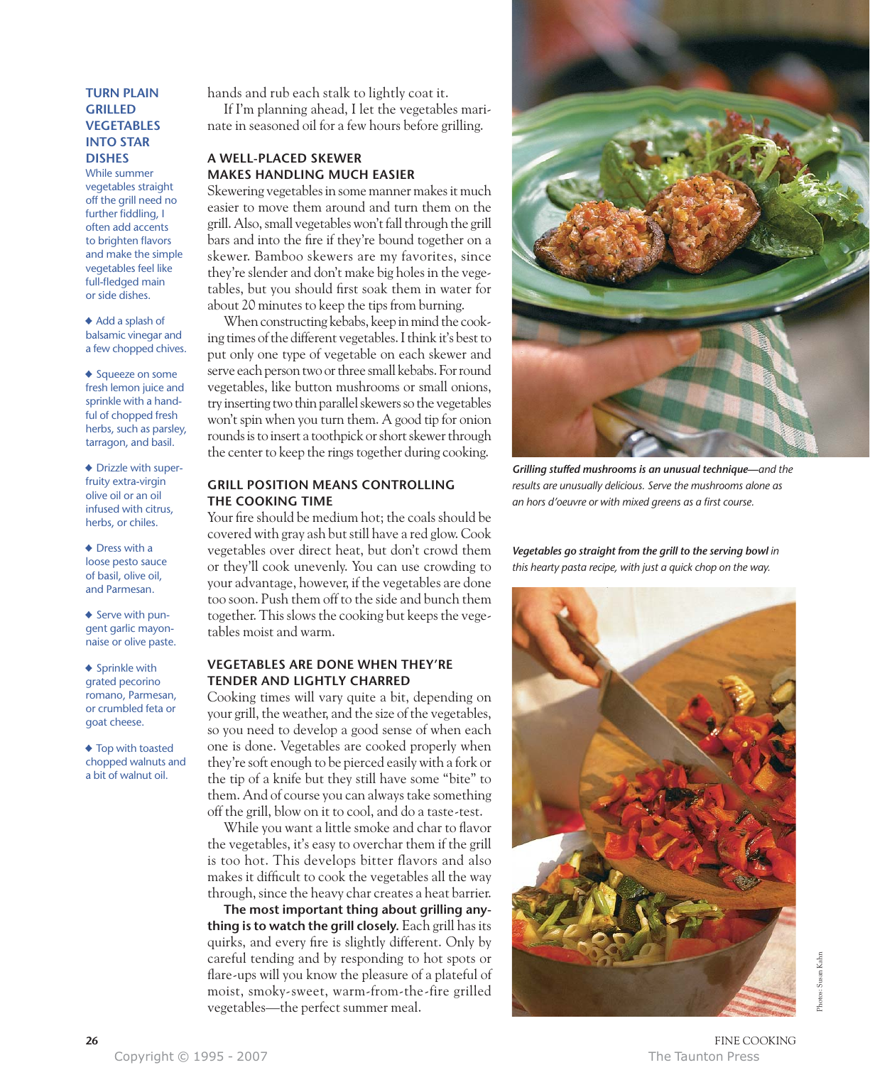#### **TURN PLAIN GRILLED VEGETABLES INTO STAR DISHES**

While summer vegetables straight off the grill need no further fiddling, I often add accents to brighten flavors and make the simple vegetables feel like full-fledged main or side dishes.

• Add a splash of balsamic vinegar and a few chopped chives.

◆ Squeeze on some fresh lemon juice and sprinkle with a handful of chopped fresh herbs, such as parsley, tarragon, and basil.

• Drizzle with superfruity extra-virgin olive oil or an oil infused with citrus, herbs, or chiles.

• Dress with a loose pesto sauce of basil, olive oil, and Parmesan.

◆ Serve with pungent garlic mayonnaise or olive paste.

• Sprinkle with grated pecorino romano, Parmesan, or crumbled feta or goat cheese.

◆ Top with toasted chopped walnuts and a bit of walnut oil.

hands and rub each stalk to lightly coat it.

If I'm planning ahead, I let the vegetables marinate in seasoned oil for a few hours before grilling.

## **A WELL-PLACED SKEWER MAKES HANDLING MUCH EASIER**

Skewering vegetables in some manner makes it much easier to move them around and turn them on the grill. Also, small vegetables won't fall through the grill bars and into the fire if they're bound together on a skewer. Bamboo skewers are my favorites, since they're slender and don't make big holes in the vegetables, but you should first soak them in water for about 20 minutes to keep the tips from burning.

When constructing kebabs, keep in mind the cooking times of the different vegetables. I think it's best to put only one type of vegetable on each skewer and serve each person two or three small kebabs. For round vegetables, like button mushrooms or small onions, try inserting two thin parallel skewers so the vegetables won't spin when you turn them. A good tip for onion rounds is to insert a toothpick or short skewer through the center to keep the rings together during cooking.

#### **GRILL POSITION MEANS CONTROLLING THE COOKING TIME**

Your fire should be medium hot; the coals should be covered with gray ash but still have a red glow. Cook vegetables over direct heat, but don't crowd them or they'll cook unevenly. You can use crowding to your advantage, however, if the vegetables are done too soon. Push them off to the side and bunch them together. This slows the cooking but keeps the vegetables moist and warm.

#### **VEGETABLES ARE DONE WHEN THEY'RE TENDER AND LIGHTLY CHARRED**

Cooking times will vary quite a bit, depending on your grill, the weather, and the size of the vegetables, so you need to develop a good sense of when each one is done. Vegetables are cooked properly when they're soft enough to be pierced easily with a fork or the tip of a knife but they still have some "bite" to them. And of course you can always take something off the grill, blow on it to cool, and do a taste-test.

While you want a little smoke and char to flavor the vegetables, it's easy to overchar them if the grill is too hot. This develops bitter flavors and also makes it difficult to cook the vegetables all the way through, since the heavy char creates a heat barrier.

**The most important thing about grilling anything is to watch the grill closely.** Each grill has its quirks, and every fire is slightly different. Only by careful tending and by responding to hot spots or flare-ups will you know the pleasure of a plateful of moist, smoky-sweet, warm-from-the-fire grilled vegetables—the perfect summer meal.



*Grilling stuffed mushrooms is an unusual technique—and the results are unusually delicious. Serve the mushrooms alone as an hors d'oeuvre or with mixed greens as a first course.*

Vegetables go straight from the grill to the serving bowl in *this hearty pasta recipe, with just a quick chop on the way.*



**26** FINE COOKING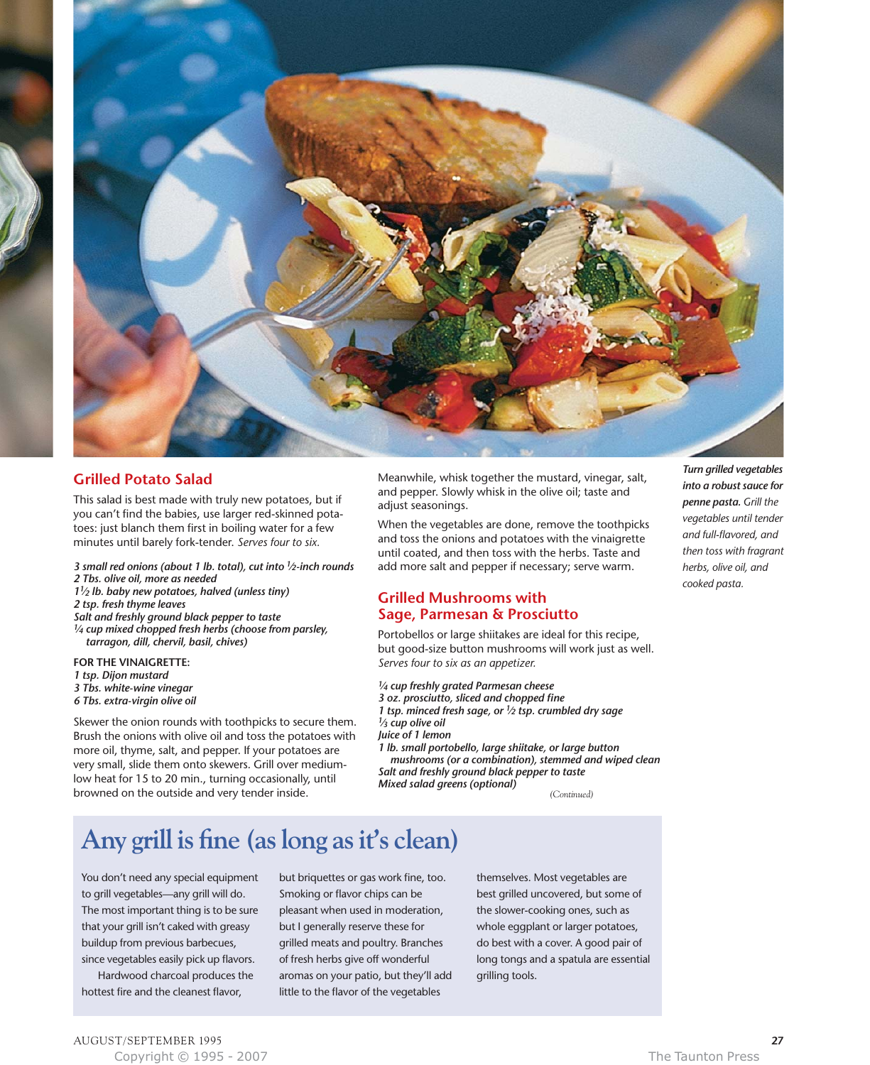

#### **Grilled Potato Salad**

This salad is best made with truly new potatoes, but if you can't find the babies, use larger red-skinned potatoes: just blanch them first in boiling water for a few minutes until barely fork-tender. *Serves four to six.*

- *3 small red onions (about 1 lb. total), cut into 1⁄2-inch rounds 2 Tbs. olive oil, more as needed*
- *11⁄2 lb. baby new potatoes, halved (unless tiny)*
- *2 tsp. fresh thyme leaves*
- *Salt and freshly ground black pepper to taste*
- *1⁄4 cup mixed chopped fresh herbs (choose from parsley, tarragon, dill, chervil, basil, chives)*

**FOR THE VINAIGRETTE:** *1 tsp. Dijon mustard 3 Tbs. white-wine vinegar 6 Tbs. extra-virgin olive oil*

Skewer the onion rounds with toothpicks to secure them. Brush the onions with olive oil and toss the potatoes with more oil, thyme, salt, and pepper. If your potatoes are very small, slide them onto skewers. Grill over mediumlow heat for 15 to 20 min., turning occasionally, until browned on the outside and very tender inside.

Meanwhile, whisk together the mustard, vinegar, salt, and pepper. Slowly whisk in the olive oil; taste and adjust seasonings.

When the vegetables are done, remove the toothpicks and toss the onions and potatoes with the vinaigrette until coated, and then toss with the herbs. Taste and add more salt and pepper if necessary; serve warm.

## **Grilled Mushrooms with Sage, Parmesan & Prosciutto**

Portobellos or large shiitakes are ideal for this recipe, but good-size button mushrooms will work just as well. *Serves four to six as an appetizer.*

*1⁄4 cup freshly grated Parmesan cheese*

*3 oz. prosciutto, sliced and chopped fine 1 tsp. minced fresh sage, or 1⁄2 tsp. crumbled dry sage 1⁄3 cup olive oil*

*Juice of 1 lemon*

*1 lb. small portobello, large shiitake, or large button mushrooms (or a combination), stemmed and wiped clean Salt and freshly ground black pepper to taste Mixed salad greens (optional) (Continued)*

# **Any grill is fine (as long as it's clean)**

You don't need any special equipment to grill vegetables—any grill will do. The most important thing is to be sure that your grill isn't caked with greasy buildup from previous barbecues, since vegetables easily pick up flavors.

Hardwood charcoal produces the hottest fire and the cleanest flavor,

Smoking or flavor chips can be pleasant when used in moderation, but I generally reserve these for grilled meats and poultry. Branches of fresh herbs give off wonderful aromas on your patio, but they'll add little to the flavor of the vegetables

but briquettes or gas work fine, too.

themselves. Most vegetables are best grilled uncovered, but some of the slower-cooking ones, such as whole eggplant or larger potatoes, do best with a cover. A good pair of long tongs and a spatula are essential grilling tools.

*Turn grilled vegetables into a robust sauce for penne pasta. Grill the vegetables until tender and full-flavored, and then toss with fragrant herbs, olive oil, and cooked pasta.*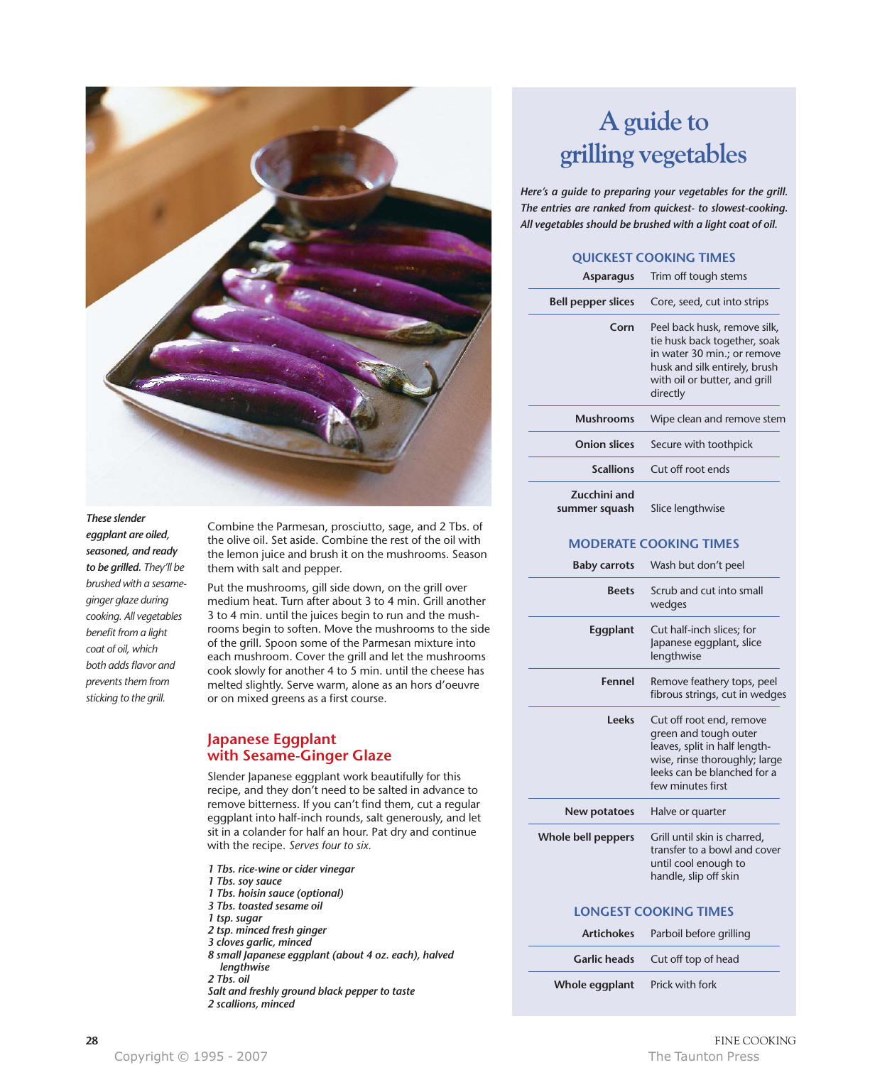

#### *These slender*

*eggplant are oiled, seasoned, and ready to be grilled. They'll be brushed with a sesameginger glaze during cooking. All vegetables benefit from a light coat of oil, which both adds flavor and prevents them from sticking to the grill.*

Combine the Parmesan, prosciutto, sage, and 2 Tbs. of the olive oil. Set aside. Combine the rest of the oil with the lemon juice and brush it on the mushrooms. Season them with salt and pepper.

Put the mushrooms, gill side down, on the grill over medium heat. Turn after about 3 to 4 min. Grill another 3 to 4 min. until the juices begin to run and the mushrooms begin to soften. Move the mushrooms to the side of the grill. Spoon some of the Parmesan mixture into each mushroom. Cover the grill and let the mushrooms cook slowly for another 4 to 5 min. until the cheese has melted slightly. Serve warm, alone as an hors d'oeuvre or on mixed greens as a first course.

#### **Japanese Eggplant with Sesame-Ginger Glaze**

Slender Japanese eggplant work beautifully for this recipe, and they don't need to be salted in advance to remove bitterness. If you can't find them, cut a regular eggplant into half-inch rounds, salt generously, and let sit in a colander for half an hour. Pat dry and continue with the recipe. *Serves four to six.*

- *1 Tbs. rice-wine or cider vinegar*
- *1 Tbs. soy sauce*
- *1 Tbs. hoisin sauce (optional)*
- *3 Tbs. toasted sesame oil*
- *1 tsp. sugar*
- *2 tsp. minced fresh ginger*
- *3 cloves garlic, minced*
- *8 small Japanese eggplant (about 4 oz. each), halved lengthwise 2 Tbs. oil*
- *Salt and freshly ground black pepper to taste*
- *2 scallions, minced*

# **A guide to grilling vegetables**

*Here's a guide to preparing your vegetables for the grill. The entries are ranked from quickest- to slowest-cooking. All vegetables should be brushed with a light coat of oil.*

#### **QUICKEST COOKING TIMES**

| <b>Asparagus</b>              | Trim off tough stems                                                                                                                                                      |
|-------------------------------|---------------------------------------------------------------------------------------------------------------------------------------------------------------------------|
| <b>Bell pepper slices</b>     | Core, seed, cut into strips                                                                                                                                               |
| Corn                          | Peel back husk, remove silk,<br>tie husk back together, soak<br>in water 30 min.; or remove<br>husk and silk entirely, brush<br>with oil or butter, and grill<br>directly |
| <b>Mushrooms</b>              | Wipe clean and remove stem                                                                                                                                                |
| <b>Onion slices</b>           | Secure with toothpick                                                                                                                                                     |
| <b>Scallions</b>              | Cut off root ends                                                                                                                                                         |
| Zucchini and<br>summer squash | Slice lengthwise                                                                                                                                                          |

#### **MODERATE COOKING TIMES**

| <b>Baby carrots</b>          | Wash but don't peel                                                                                                                                                     |
|------------------------------|-------------------------------------------------------------------------------------------------------------------------------------------------------------------------|
| <b>Beets</b>                 | Scrub and cut into small<br>wedges                                                                                                                                      |
| Eggplant                     | Cut half-inch slices; for<br>Japanese eggplant, slice<br>lengthwise                                                                                                     |
| Fennel                       | Remove feathery tops, peel<br>fibrous strings, cut in wedges                                                                                                            |
| <b>Leeks</b>                 | Cut off root end, remove<br>green and tough outer<br>leaves, split in half length-<br>wise, rinse thoroughly; large<br>leeks can be blanched for a<br>few minutes first |
| New potatoes                 | Halve or quarter                                                                                                                                                        |
| Whole bell peppers           | Grill until skin is charred,<br>transfer to a bowl and cover<br>until cool enough to<br>handle, slip off skin                                                           |
| <b>LONGEST COOKING TIMES</b> |                                                                                                                                                                         |
| <b>Artichokes</b>            | Parboil before grilling                                                                                                                                                 |
| <b>Garlic heads</b>          | Cut off top of head                                                                                                                                                     |

**Whole eggplant** Prick with fork